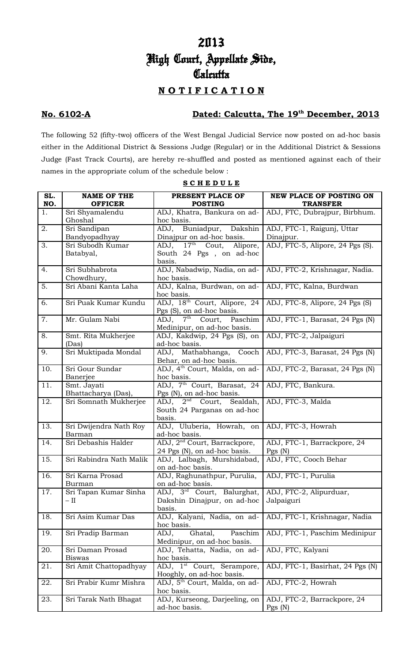# 2013 High Court, Appellate Side, Calcutta

## **N O T I F I C A T I O N**

### **No. 6102-A Dated: Calcutta, The 19th December, 2013**

The following 52 (fifty-two) officers of the West Bengal Judicial Service now posted on ad-hoc basis either in the Additional District & Sessions Judge (Regular) or in the Additional District & Sessions Judge (Fast Track Courts), are hereby re-shuffled and posted as mentioned against each of their names in the appropriate colum of the schedule below :

| SL. | <b>NAME OF THE</b>                 | PRESENT PLACE OF                                                                                     | <b>NEW PLACE OF POSTING ON</b>          |
|-----|------------------------------------|------------------------------------------------------------------------------------------------------|-----------------------------------------|
| NO. | <b>OFFICER</b>                     | <b>POSTING</b>                                                                                       | <b>TRANSFER</b>                         |
| 1.  | Sri Shyamalendu<br>Ghoshal         | ADJ, Khatra, Bankura on ad-<br>hoc basis.                                                            | ADJ, FTC, Dubrajpur, Birbhum.           |
| 2.  | Sri Sandipan<br>Bandyopadhyay      | ADJ, Buniadpur, Dakshin<br>Dinajpur on ad-hoc basis.                                                 | ADJ, FTC-1, Raigunj, Uttar<br>Dinajpur. |
| 3.  | Sri Subodh Kumar                   | ADJ, 17 <sup>th</sup> Cout, Alipore,                                                                 | ADJ, FTC-5, Alipore, 24 Pgs (S).        |
|     | Batabyal,                          | South 24 Pgs, on ad-hoc<br>basis.                                                                    |                                         |
| 4.  | Sri Subhabrota<br>Chowdhury,       | ADJ, Nabadwip, Nadia, on ad-<br>hoc basis.                                                           | ADJ, FTC-2, Krishnagar, Nadia.          |
| 5.  | Sri Abani Kanta Laha               | ADJ, Kalna, Burdwan, on ad-<br>hoc basis.                                                            | ADJ, FTC, Kalna, Burdwan                |
| 6.  | Sri Puak Kumar Kundu               | ADJ, 18th Court, Alipore, 24<br>Pgs (S), on ad-hoc basis.                                            | ADJ, FTC-8, Alipore, 24 Pgs (S)         |
| 7.  | Mr. Gulam Nabi                     | $\overline{7^{th}}$ Court,<br>Paschim<br>ADJ,<br>Medinipur, on ad-hoc basis.                         | ADJ, FTC-1, Barasat, 24 Pgs (N)         |
| 8.  | Smt. Rita Mukherjee<br>(Das)       | ADJ, Kakdwip, 24 Pgs (S), on<br>ad-hoc basis.                                                        | ADJ, FTC-2, Jalpaiguri                  |
| 9.  | Sri Muktipada Mondal               | ADJ, Mathabhanga,<br>Cooch<br>Behar, on ad-hoc basis.                                                | ADJ, FTC-3, Barasat, 24 Pgs (N)         |
| 10. | Sri Gour Sundar<br>Banerjee        | ADJ, 4 <sup>th</sup> Court, Malda, on ad-<br>hoc basis.                                              | ADJ, FTC-2, Barasat, 24 Pgs (N)         |
| 11. | Smt. Jayati<br>Bhattacharya (Das), | ADJ, 7 <sup>th</sup> Court, Barasat, 24<br>Pgs (N), on ad-hoc basis.                                 | ADJ, FTC, Bankura.                      |
| 12. | Sri Somnath Mukherjee              | $\overline{\mathrm{ADJ}}$ , $2^{\text{nd}}$ Court, Sealdah,<br>South 24 Parganas on ad-hoc<br>basis. | ADJ, FTC-3, Malda                       |
| 13. | Sri Dwijendra Nath Roy<br>Barman   | ADJ, Uluberia, Howrah, on<br>ad-hoc basis.                                                           | ADJ, FTC-3, Howrah                      |
| 14. | Sri Debashis Halder                | ADJ, 2 <sup>nd</sup> Court, Barrackpore,<br>24 Pgs (N), on ad-hoc basis.                             | ADJ, FTC-1, Barrackpore, 24<br>Pgs(N)   |
| 15. | Sri Rabindra Nath Malik            | ADJ, Lalbagh, Murshidabad,<br>on ad-hoc basis.                                                       | ADJ, FTC, Cooch Behar                   |
| 16. | Sri Karna Prosad<br>Burman         | ADJ, Raghunathpur, Purulia,<br>on ad-hoc basis.                                                      | ADJ, FTC-1, Purulia                     |
| 17. | Sri Tapan Kumar Sinha<br>– II      | ADJ, 3 <sup>rd</sup> Court, Balurghat,<br>Dakshin Dinajpur, on ad-hoc<br>basis.                      | ADJ, FTC-2, Alipurduar,<br>Jalpaiguri   |
| 18. | Sri Asim Kumar Das                 | ADJ, Kalyani, Nadia, on ad-<br>hoc basis.                                                            | ADJ, FTC-1, Krishnagar, Nadia           |
| 19. | Sri Pradip Barman                  | Paschim<br>Ghatal,<br>ADJ,<br>Medinipur, on ad-hoc basis.                                            | ADJ, FTC-1, Paschim Medinipur           |
| 20. | Sri Daman Prosad<br><b>Biswas</b>  | ADJ, Tehatta, Nadia, on ad-<br>hoc basis.                                                            | ADJ, FTC, Kalyani                       |
| 21. | Sri Amit Chattopadhyay             | ADJ, 1 <sup>st</sup> Court, Serampore,<br>Hooghly, on ad-hoc basis.                                  | ADJ, FTC-1, Basirhat, 24 Pgs (N)        |
| 22. | Sri Prabir Kumr Mishra             | ADJ, 5 <sup>th</sup> Court, Malda, on ad-<br>hoc basis.                                              | ADJ, FTC-2, Howrah                      |
| 23. | Sri Tarak Nath Bhagat              | ADJ, Kurseong, Darjeeling, on<br>ad-hoc basis.                                                       | ADJ, FTC-2, Barrackpore, 24<br>Pgs(N)   |

**S C H E D U L E**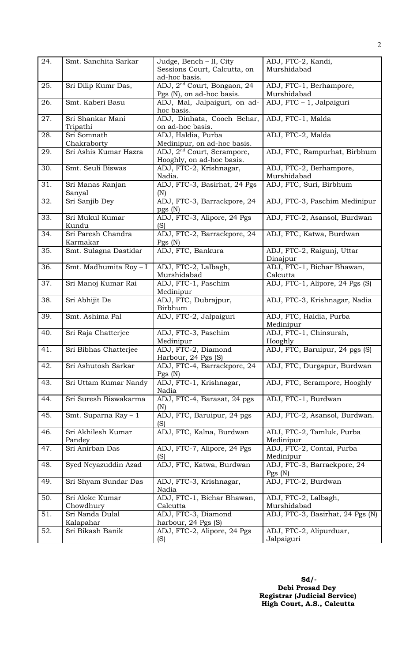| 24. | Smt. Sanchita Sarkar   | Judge, Bench - II, City                 | ADJ, FTC-2, Kandi,               |
|-----|------------------------|-----------------------------------------|----------------------------------|
|     |                        | Sessions Court, Calcutta, on            | Murshidabad                      |
|     |                        | ad-hoc basis.                           |                                  |
| 25. | Sri Dilip Kumr Das,    | ADJ, 2 <sup>nd</sup> Court, Bongaon, 24 | ADJ, FTC-1, Berhampore,          |
|     |                        |                                         | Murshidabad                      |
|     |                        | Pgs (N), on ad-hoc basis.               |                                  |
| 26. | Smt. Kaberi Basu       | ADJ, Mal, Jalpaiguri, on ad-            | ADJ, FTC - 1, Jalpaiguri         |
|     |                        | hoc basis.                              |                                  |
| 27. | Sri Shankar Mani       | ADJ, Dinhata, Cooch Behar,              | ADJ, FTC-1, Malda                |
|     | Tripathi               | on ad-hoc basis.                        |                                  |
| 28. | Sri Somnath            | ADJ, Haldia, Purba                      | ADJ, FTC-2, Malda                |
|     | Chakraborty            | Medinipur, on ad-hoc basis.             |                                  |
| 29. | Sri Ashis Kumar Hazra  | ADJ, 2 <sup>nd</sup> Court, Serampore,  | ADJ, FTC, Rampurhat, Birbhum     |
|     |                        | Hooghly, on ad-hoc basis.               |                                  |
| 30. | Smt. Seuli Biswas      |                                         |                                  |
|     |                        | ADJ, FTC-2, Krishnagar,                 | ADJ, FTC-2, Berhampore,          |
|     |                        | Nadia.                                  | Murshidabad                      |
| 31. | Sri Manas Ranjan       | ADJ, FTC-3, Basirhat, 24 Pgs            | ADJ, FTC, Suri, Birbhum          |
|     | Sanyal                 | (N)                                     |                                  |
| 32. | Sri Sanjib Dey         | ADJ, FTC-3, Barrackpore, 24             | ADJ, FTC-3, Paschim Medinipur    |
|     |                        | pgs (N)                                 |                                  |
| 33. | Sri Mukul Kumar        | ADJ, FTC-3, Alipore, 24 Pgs             | ADJ, FTC-2, Asansol, Burdwan     |
|     | Kundu                  | (S)                                     |                                  |
| 34. | Sri Paresh Chandra     | ADJ, FTC-2, Barrackpore, 24             | ADJ, FTC, Katwa, Burdwan         |
|     | Karmakar               |                                         |                                  |
|     |                        | Pgs(N)                                  |                                  |
| 35. | Smt. Sulagna Dastidar  | ADJ, FTC, Bankura                       | ADJ, FTC-2, Raigunj, Uttar       |
|     |                        |                                         | Dinajpur                         |
| 36. | Smt. Madhumita Roy - I | ADJ, FTC-2, Lalbagh,                    | ADJ, FTC-1, Bichar Bhawan,       |
|     |                        | Murshidabad                             | Calcutta                         |
| 37. | Sri Manoj Kumar Rai    | ADJ, FTC-1, Paschim                     | ADJ, FTC-1, Alipore, 24 Pgs (S)  |
|     |                        | Medinipur                               |                                  |
| 38. | Sri Abhijit De         | ADJ, FTC, Dubrajpur,                    | ADJ, FTC-3, Krishnagar, Nadia    |
|     |                        | Birbhum                                 |                                  |
| 39. | Smt. Ashima Pal        | ADJ, FTC-2, Jalpaiguri                  | ADJ, FTC, Haldia, Purba          |
|     |                        |                                         | Medinipur                        |
|     |                        |                                         |                                  |
| 40. | Sri Raja Chatterjee    | ADJ, FTC-3, Paschim                     | ADJ, FTC-1, Chinsurah,           |
|     |                        | Medinipur                               | Hooghly                          |
| 41. | Sri Bibhas Chatterjee  | ADJ, FTC-2, Diamond                     | ADJ, FTC, Baruipur, 24 pgs (S)   |
|     |                        | Harbour, 24 Pgs (S)                     |                                  |
| 42. | Sri Ashutosh Sarkar    | ADJ, FTC-4, Barrackpore, 24             | ADJ, FTC, Durgapur, Burdwan      |
|     |                        | Pgs(N)                                  |                                  |
| 43. | Sri Uttam Kumar Nandy  | ADJ, FTC-1, Krishnagar,                 | ADJ, FTC, Serampore, Hooghly     |
|     |                        | Nadia                                   |                                  |
| 44. | Sri Suresh Biswakarma  | ADJ, FTC-4, Barasat, 24 pgs             | ADJ, FTC-1, Burdwan              |
|     |                        | (N)                                     |                                  |
|     |                        |                                         |                                  |
| 45. | Smt. Suparna Ray - 1   | ADJ, FTC, Baruipur, 24 pgs              | ADJ, FTC-2, Asansol, Burdwan.    |
|     |                        | (S)                                     |                                  |
| 46. | Sri Akhilesh Kumar     | ADJ, FTC, Kalna, Burdwan                | ADJ, FTC-2, Tamluk, Purba        |
|     | Pandey                 |                                         | Medinipur                        |
| 47. | Sri Anirban Das        | ADJ, FTC-7, Alipore, 24 Pgs             | ADJ, FTC-2, Contai, Purba        |
|     |                        | (S)                                     | Medinipur                        |
| 48. | Syed Neyazuddin Azad   | ADJ, FTC, Katwa, Burdwan                | ADJ, FTC-3, Barrackpore, 24      |
|     |                        |                                         | Pgs(N)                           |
| 49. |                        |                                         | ADJ, FTC-2, Burdwan              |
|     | Sri Shyam Sundar Das   | ADJ, FTC-3, Krishnagar,                 |                                  |
|     |                        | Nadia                                   |                                  |
| 50. | Sri Aloke Kumar        | ADJ, FTC-1, Bichar Bhawan,              | ADJ, FTC-2, Lalbagh,             |
|     | Chowdhury              | Calcutta                                | Murshidabad                      |
| 51. | Sri Nanda Dulal        | ADJ, FTC-3, Diamond                     | ADJ, FTC-3, Basirhat, 24 Pgs (N) |
|     | Kalapahar              | harbour, 24 Pgs (S)                     |                                  |
| 52. | Sri Bikash Banik       | ADJ, FTC-2, Alipore, 24 Pgs             | ADJ, FTC-2, Alipurduar,          |
|     |                        | (S)                                     | Jalpaiguri                       |